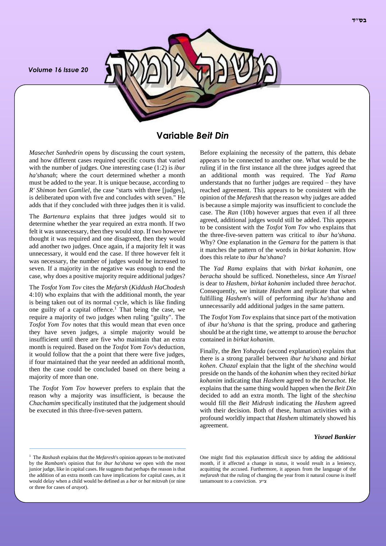*Volume 16 Issue 20*



# **Variable** *Beit Din*

*Masechet Sanhedrin* opens by discussing the court system, and how different cases required specific courts that varied with the number of judges. One interesting case (1:2) is *ibur ha'shanah*; where the court determined whether a month must be added to the year. It is unique because, according to *R' Shimon ben Gamliel*, the case "starts with three [judges], is deliberated upon with five and concludes with seven." He adds that if they concluded with three judges then it is valid.

The *Bartenura* explains that three judges would sit to determine whether the year required an extra month. If two felt it was unnecessary, then they would stop. If two however thought it was required and one disagreed, then they would add another two judges. Once again, if a majority felt it was unnecessary, it would end the case. If three however felt it was necessary, the number of judges would be increased to seven. If a majority in the negative was enough to end the case, why does a positive majority require additional judges?

The *Tosfot Yom Tov* cites the *Mefarsh* (*Kiddush HaChodesh* 4:10) who explains that with the additional month, the year is being taken out of its normal cycle, which is like finding one guilty of a capital offence.<sup>1</sup> That being the case, we require a majority of two judges when ruling "guilty". The *Tosfot Yom Tov* notes that this would mean that even once they have seven judges, a simple majority would be insufficient until there are five who maintain that an extra month is required. Based on the *Tosfot Yom Tov*'s deduction, it would follow that the a point that there were five judges, if four maintained that the year needed an additional month, then the case could be concluded based on there being a majority of more than one.

The *Tosfot Yom Tov* however prefers to explain that the reason why a majority was insufficient, is because the *Chachamim* specifically instituted that the judgement should be executed in this three-five-seven pattern.

Before explaining the necessity of the pattern, this debate appears to be connected to another one. What would be the ruling if in the first instance all the three judges agreed that an additional month was required. The *Yad Rama* understands that no further judges are required – they have reached agreement. This appears to be consistent with the opinion of the *Mefaresh* that the reason why judges are added is because a simple majority was insufficient to conclude the case. The *Ran* (10b) however argues that even if all three agreed, additional judges would still be added. This appears to be consistent with the *Tosfot Yom Tov* who explains that the three-five-seven pattern was critical to *ibur ha'shana*. Why? One explanation in the *Gemara* for the pattern is that it matches the pattern of the words in *birkat kohanim*. How does this relate to *ibur ha'shana*?

The *Yad Rama* explains that with *birkat kohanim*, one *beracha* should be sufficed. Nonetheless, since *Am Yisrael* is dear to *Hashem*, *birkat kohanim* included three *berachot*. Consequently, we imitate *Hashem* and replicate that when fulfilling *Hashem*'s will of performing *ibur ha'shana* and unnecessarily add additional judges in the same pattern.

The *Tosfot Yom Tov* explains that since part of the motivation of *ibur ha'shana* is that the spring, produce and gathering should be at the right time, we attempt to arouse the *berachot* contained in *birkat kohanim*.

Finally, the *Ben Yohayda* (second explanation) explains that there is a strong parallel between *ibur ha'shana* and *birkat kohen*. *Chazal* explain that the light of the *shechina* would preside on the hands of the *kohanim* when they recited *birkat kohanim* indicating that *Hashem* agreed to the *berachot*. He explains that the same thing would happen when the *Beit Din* decided to add an extra month. The light of the *shechina* would fill the *Beit Midrash* indicating the *Hashem* agreed with their decision. Both of these, human activities with a profound worldly impact that *Hashem* ultimately showed his agreement.

### *Yisrael Bankier*

<sup>&</sup>lt;sup>1</sup> The *Rashash* explains that the *Mefaresh*'s opinion appears to be motivated by the *Rambam*'s opinion that for *ibur ha'shana* we open with the most junior judge, like in capital cases. He suggests that perhaps the reason is that the addition of an extra month can have implications for capital cases, as it would delay when a child would be defined as a *bar* or *bat mitzvah* (or nine or three for cases of *arayot*).

One might find this explanation difficult since by adding the additional month, if it affected a change in status, it would result in a leniency, acquitting the accused. Furthermore, it appears from the language of the *mefarash* that the ruling of changing the year from it natural course is itself tantamount to a conviction. ע"צ